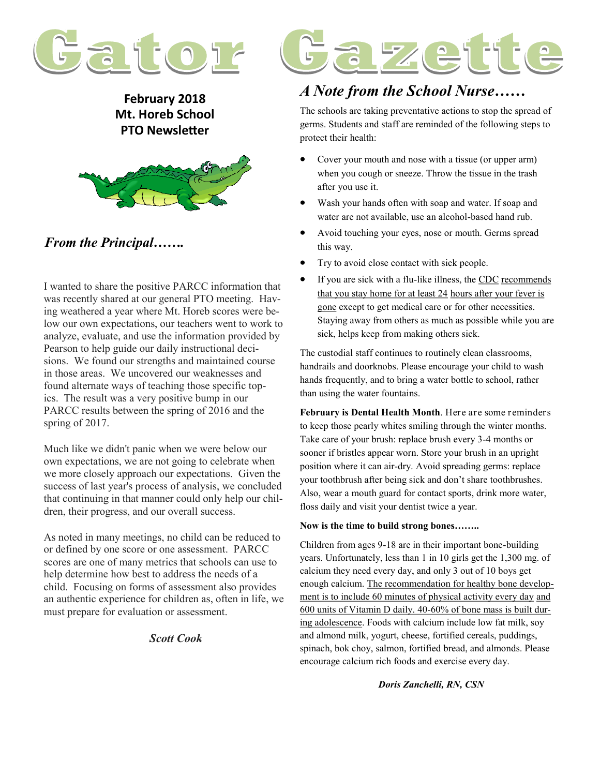

**February 2018 Mt. Horeb School PTO Newsletter**



#### *From the Principal…….*

I wanted to share the positive PARCC information that was recently shared at our general PTO meeting. Having weathered a year where Mt. Horeb scores were below our own expectations, our teachers went to work to analyze, evaluate, and use the information provided by Pearson to help guide our daily instructional decisions. We found our strengths and maintained course in those areas. We uncovered our weaknesses and found alternate ways of teaching those specific topics. The result was a very positive bump in our PARCC results between the spring of 2016 and the spring of 2017.

Much like we didn't panic when we were below our own expectations, we are not going to celebrate when we more closely approach our expectations. Given the success of last year's process of analysis, we concluded that continuing in that manner could only help our children, their progress, and our overall success.

As noted in many meetings, no child can be reduced to or defined by one score or one assessment. PARCC scores are one of many metrics that schools can use to help determine how best to address the needs of a child. Focusing on forms of assessment also provides an authentic experience for children as, often in life, we must prepare for evaluation or assessment.

#### *Scott Cook*



### *A Note from the School Nurse……*

The schools are taking preventative actions to stop the spread of germs. Students and staff are reminded of the following steps to protect their health:

- Cover your mouth and nose with a tissue (or upper arm) when you cough or sneeze. Throw the tissue in the trash after you use it.
- Wash your hands often with soap and water. If soap and water are not available, use an alcohol-based hand rub.
- Avoid touching your eyes, nose or mouth. Germs spread this way.
- Try to avoid close contact with sick people.
- If you are sick with a flu-like illness, the CDC recommends that you stay home for at least 24 hours after your fever is gone except to get medical care or for other necessities. Staying away from others as much as possible while you are sick, helps keep from making others sick.

The custodial staff continues to routinely clean classrooms, handrails and doorknobs. Please encourage your child to wash hands frequently, and to bring a water bottle to school, rather than using the water fountains.

**February is Dental Health Month**. Here are some reminders to keep those pearly whites smiling through the winter months. Take care of your brush: replace brush every 3-4 months or sooner if bristles appear worn. Store your brush in an upright position where it can air-dry. Avoid spreading germs: replace your toothbrush after being sick and don't share toothbrushes. Also, wear a mouth guard for contact sports, drink more water, floss daily and visit your dentist twice a year.

#### **Now is the time to build strong bones……..**

Children from ages 9-18 are in their important bone-building years. Unfortunately, less than 1 in 10 girls get the 1,300 mg. of calcium they need every day, and only 3 out of 10 boys get enough calcium. The recommendation for healthy bone development is to include 60 minutes of physical activity every day and 600 units of Vitamin D daily. 40-60% of bone mass is built during adolescence. Foods with calcium include low fat milk, soy and almond milk, yogurt, cheese, fortified cereals, puddings, spinach, bok choy, salmon, fortified bread, and almonds. Please encourage calcium rich foods and exercise every day.

*Doris Zanchelli, RN, CSN*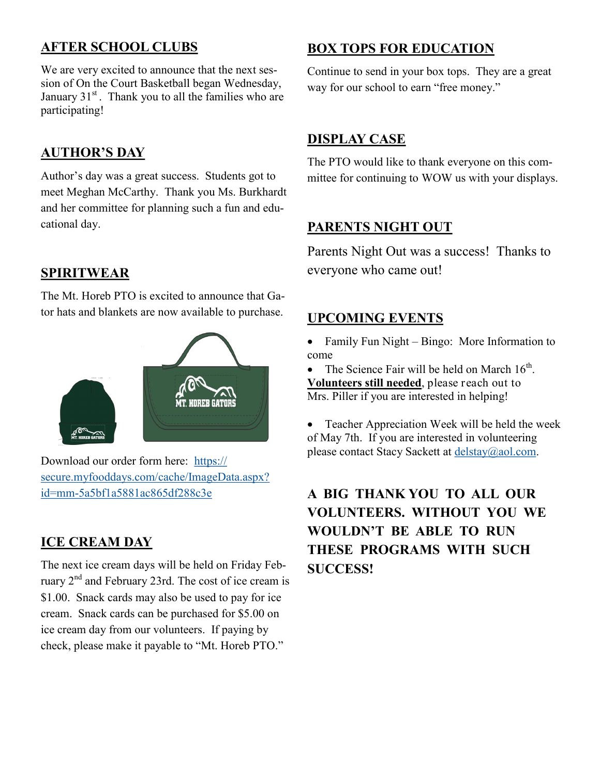## **AFTER SCHOOL CLUBS**

We are very excited to announce that the next session of On the Court Basketball began Wednesday, January 31<sup>st</sup>. Thank you to all the families who are participating!

#### **AUTHOR'S DAY**

Author's day was a great success. Students got to meet Meghan McCarthy. Thank you Ms. Burkhardt and her committee for planning such a fun and educational day.

#### **SPIRITWEAR**

The Mt. Horeb PTO is excited to announce that Gator hats and blankets are now available to purchase.



Download our order form here: [https://](https://secure.myfooddays.com/cache/ImageData.aspx?id=mm-5a5bf1a5881ac865df288c3e) [secure.myfooddays.com/cache/ImageData.aspx?](https://secure.myfooddays.com/cache/ImageData.aspx?id=mm-5a5bf1a5881ac865df288c3e) id=mm-[5a5bf1a5881ac865df288c3e](https://secure.myfooddays.com/cache/ImageData.aspx?id=mm-5a5bf1a5881ac865df288c3e)

#### **ICE CREAM DAY**

The next ice cream days will be held on Friday February 2nd and February 23rd. The cost of ice cream is \$1.00. Snack cards may also be used to pay for ice cream. Snack cards can be purchased for \$5.00 on ice cream day from our volunteers. If paying by check, please make it payable to "Mt. Horeb PTO."

### **BOX TOPS FOR EDUCATION**

Continue to send in your box tops. They are a great way for our school to earn "free money."

#### **DISPLAY CASE**

The PTO would like to thank everyone on this committee for continuing to WOW us with your displays.

#### **PARENTS NIGHT OUT**

Parents Night Out was a success! Thanks to everyone who came out!

#### **UPCOMING EVENTS**

• Family Fun Night – Bingo: More Information to come

• The Science Fair will be held on March  $16<sup>th</sup>$ . **Volunteers still needed**, please reach out to Mrs. Piller if you are interested in helping!

 Teacher Appreciation Week will be held the week of May 7th. If you are interested in volunteering please contact Stacy Sackett at [delstay@aol.com.](mailto:delstay@aol.com)

# **A BIG THANK YOU TO ALL OUR VOLUNTEERS. WITHOUT YOU WE WOULDN'T BE ABLE TO RUN THESE PROGRAMS WITH SUCH SUCCESS!**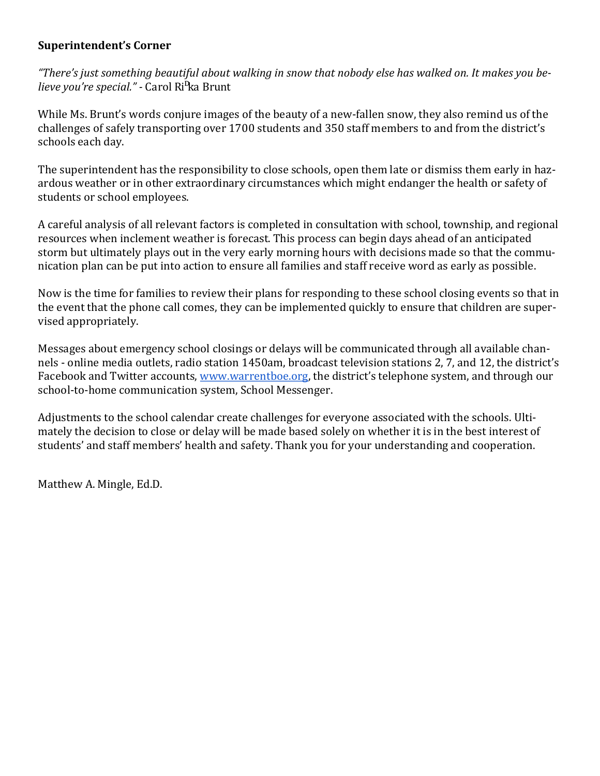#### **Superintendent's Corner**

*"There's just something beautiful about walking in snow that nobody else has walked on. It makes you believe you're special." -* Carol Rifka Brunt

While Ms. Brunt's words conjure images of the beauty of a new-fallen snow, they also remind us of the challenges of safely transporting over 1700 students and 350 staff members to and from the district's schools each day.

The superintendent has the responsibility to close schools, open them late or dismiss them early in hazardous weather or in other extraordinary circumstances which might endanger the health or safety of students or school employees.

A careful analysis of all relevant factors is completed in consultation with school, township, and regional resources when inclement weather is forecast. This process can begin days ahead of an anticipated storm but ultimately plays out in the very early morning hours with decisions made so that the communication plan can be put into action to ensure all families and staff receive word as early as possible.

Now is the time for families to review their plans for responding to these school closing events so that in the event that the phone call comes, they can be implemented quickly to ensure that children are supervised appropriately.

Messages about emergency school closings or delays will be communicated through all available channels - online media outlets, radio station 1450am, broadcast television stations 2, 7, and 12, the district's Facebook and Twitter accounts, [www.warrentboe.org,](http://www.warrentboe.org) the district's telephone system, and through our school-to-home communication system, School Messenger.

Adjustments to the school calendar create challenges for everyone associated with the schools. Ultimately the decision to close or delay will be made based solely on whether it is in the best interest of students' and staff members' health and safety. Thank you for your understanding and cooperation.

Matthew A. Mingle, Ed.D.